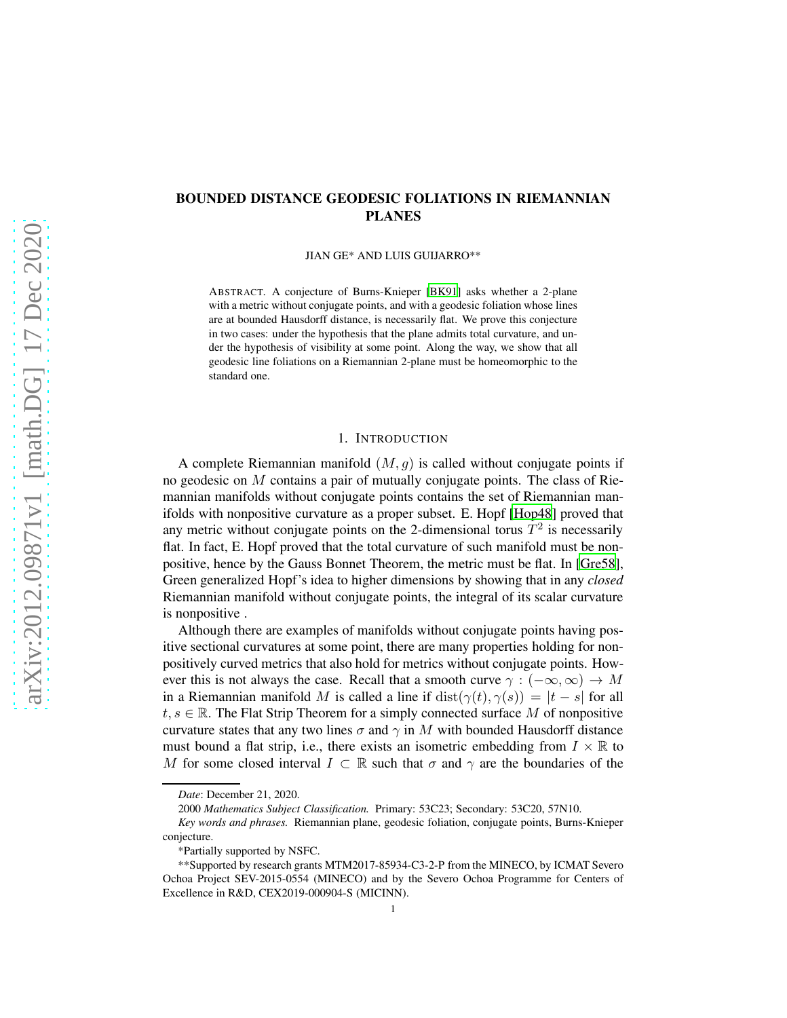# BOUNDED DISTANCE GEODESIC FOLIATIONS IN RIEMANNIAN PLANES

JIAN GE\* AND LUIS GUIJARRO\*\*

ABSTRACT. A conjecture of Burns-Knieper [\[BK91\]](#page-12-0) asks whether a 2-plane with a metric without conjugate points, and with a geodesic foliation whose lines are at bounded Hausdorff distance, is necessarily flat. We prove this conjecture in two cases: under the hypothesis that the plane admits total curvature, and under the hypothesis of visibility at some point. Along the way, we show that all geodesic line foliations on a Riemannian 2-plane must be homeomorphic to the standard one.

## 1. INTRODUCTION

A complete Riemannian manifold  $(M, q)$  is called without conjugate points if no geodesic on M contains a pair of mutually conjugate points. The class of Riemannian manifolds without conjugate points contains the set of Riemannian manifolds with nonpositive curvature as a proper subset. E. Hopf [\[Hop48](#page-12-1)] proved that any metric without conjugate points on the 2-dimensional torus  $T^2$  is necessarily flat. In fact, E. Hopf proved that the total curvature of such manifold must be nonpositive, hence by the Gauss Bonnet Theorem, the metric must be flat. In [\[Gre58\]](#page-12-2), Green generalized Hopf's idea to higher dimensions by showing that in any *closed* Riemannian manifold without conjugate points, the integral of its scalar curvature is nonpositive .

Although there are examples of manifolds without conjugate points having positive sectional curvatures at some point, there are many properties holding for nonpositively curved metrics that also hold for metrics without conjugate points. However this is not always the case. Recall that a smooth curve  $\gamma : (-\infty, \infty) \to M$ in a Riemannian manifold M is called a line if  $dist(\gamma(t), \gamma(s)) = |t - s|$  for all  $t, s \in \mathbb{R}$ . The Flat Strip Theorem for a simply connected surface M of nonpositive curvature states that any two lines  $\sigma$  and  $\gamma$  in M with bounded Hausdorff distance must bound a flat strip, i.e., there exists an isometric embedding from  $I \times \mathbb{R}$  to M for some closed interval  $I \subset \mathbb{R}$  such that  $\sigma$  and  $\gamma$  are the boundaries of the

*Date*: December 21, 2020.

<sup>2000</sup> *Mathematics Subject Classification.* Primary: 53C23; Secondary: 53C20, 57N10.

*Key words and phrases.* Riemannian plane, geodesic foliation, conjugate points, Burns-Knieper conjecture.

<sup>\*</sup>Partially supported by NSFC.

<sup>\*\*</sup>Supported by research grants MTM2017-85934-C3-2-P from the MINECO, by ICMAT Severo Ochoa Project SEV-2015-0554 (MINECO) and by the Severo Ochoa Programme for Centers of Excellence in R&D, CEX2019-000904-S (MICINN).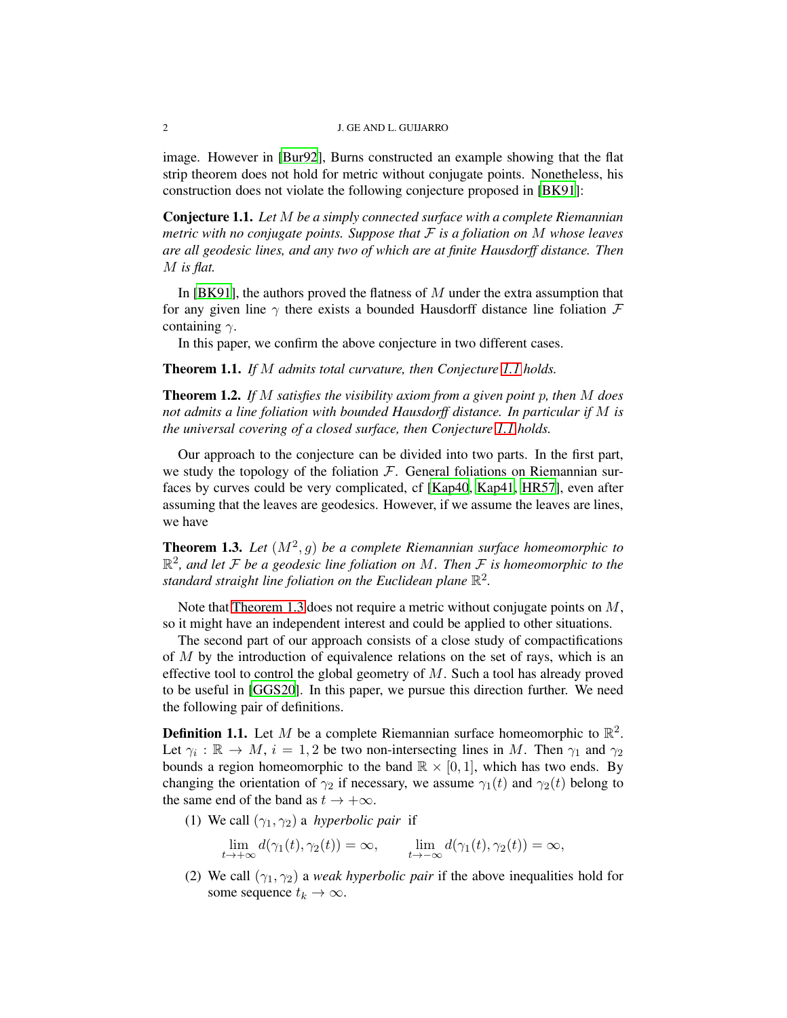#### 2 J. GE AND L. GUIJARRO

image. However in [\[Bur92](#page-12-3)], Burns constructed an example showing that the flat strip theorem does not hold for metric without conjugate points. Nonetheless, his construction does not violate the following conjecture proposed in [\[BK91\]](#page-12-0):

<span id="page-1-0"></span>Conjecture 1.1. *Let* M *be a simply connected surface with a complete Riemannian metric with no conjugate points. Suppose that* F *is a foliation on* M *whose leaves are all geodesic lines, and any two of which are at finite Hausdorff distance. Then* M *is flat.*

In [\[BK91\]](#page-12-0), the authors proved the flatness of M under the extra assumption that for any given line  $\gamma$  there exists a bounded Hausdorff distance line foliation  $\mathcal F$ containing  $\gamma$ .

In this paper, we confirm the above conjecture in two different cases.

<span id="page-1-2"></span>Theorem 1.1. *If* M *admits total curvature, then Conjecture [1.1](#page-1-0) holds.*

<span id="page-1-3"></span>Theorem 1.2. *If* M *satisfies the visibility axiom from a given point* p*, then* M *does not admits a line foliation with bounded Hausdorff distance. In particular if* M *is the universal covering of a closed surface, then Conjecture [1.1](#page-1-0) holds.*

Our approach to the conjecture can be divided into two parts. In the first part, we study the topology of the foliation  $\mathcal{F}$ . General foliations on Riemannian surfaces by curves could be very complicated, cf [\[Kap40](#page-12-4), [Kap41](#page-12-5), [HR57](#page-12-6)], even after assuming that the leaves are geodesics. However, if we assume the leaves are lines, we have

<span id="page-1-1"></span>**Theorem 1.3.** Let  $(M^2, g)$  be a complete Riemannian surface homeomorphic to R 2 *, and let* F *be a geodesic line foliation on* M*. Then* F *is homeomorphic to the* standard straight line foliation on the Euclidean plane  $\mathbb{R}^2$ .

Note that [Theorem 1.3](#page-1-1) does not require a metric without conjugate points on  $M$ , so it might have an independent interest and could be applied to other situations.

The second part of our approach consists of a close study of compactifications of M by the introduction of equivalence relations on the set of rays, which is an effective tool to control the global geometry of  $M$ . Such a tool has already proved to be useful in [\[GGS20\]](#page-12-7). In this paper, we pursue this direction further. We need the following pair of definitions.

**Definition 1.1.** Let M be a complete Riemannian surface homeomorphic to  $\mathbb{R}^2$ . Let  $\gamma_i : \mathbb{R} \to M$ ,  $i = 1, 2$  be two non-intersecting lines in M. Then  $\gamma_1$  and  $\gamma_2$ bounds a region homeomorphic to the band  $\mathbb{R} \times [0,1]$ , which has two ends. By changing the orientation of  $\gamma_2$  if necessary, we assume  $\gamma_1(t)$  and  $\gamma_2(t)$  belong to the same end of the band as  $t \to +\infty$ .

(1) We call  $(\gamma_1, \gamma_2)$  a *hyperbolic pair* if

$$
\lim_{t \to +\infty} d(\gamma_1(t), \gamma_2(t)) = \infty, \qquad \lim_{t \to -\infty} d(\gamma_1(t), \gamma_2(t)) = \infty,
$$

(2) We call  $(\gamma_1, \gamma_2)$  a *weak hyperbolic pair* if the above inequalities hold for some sequence  $t_k \to \infty$ .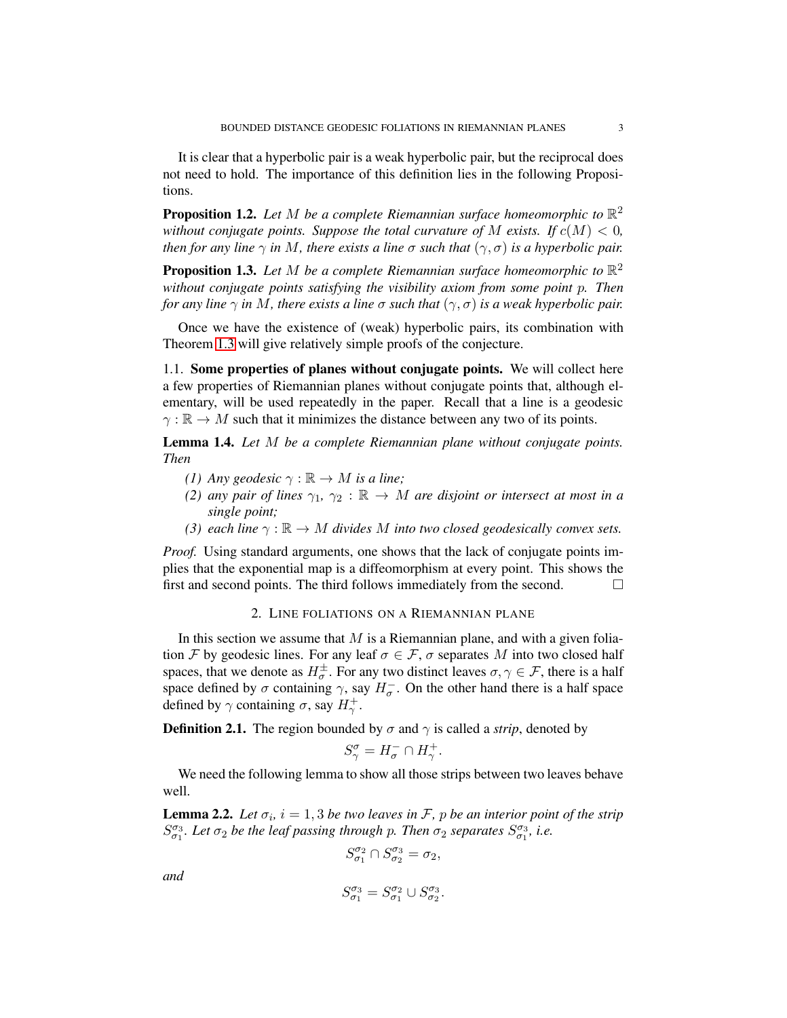It is clear that a hyperbolic pair is a weak hyperbolic pair, but the reciprocal does not need to hold. The importance of this definition lies in the following Propositions.

<span id="page-2-2"></span>**Proposition 1.2.** Let M be a complete Riemannian surface homeomorphic to  $\mathbb{R}^2$ *without conjugate points. Suppose the total curvature of* M *exists.* If  $c(M) < 0$ , *then for any line*  $\gamma$  *in* M, there exists a line  $\sigma$  such that  $(\gamma, \sigma)$  is a hyperbolic pair.

<span id="page-2-3"></span>**Proposition 1.3.** Let M be a complete Riemannian surface homeomorphic to  $\mathbb{R}^2$ *without conjugate points satisfying the visibility axiom from some point* p*. Then for any line*  $\gamma$  *in* M, there exists a line  $\sigma$  such that  $(\gamma, \sigma)$  is a weak hyperbolic pair.

Once we have the existence of (weak) hyperbolic pairs, its combination with Theorem [1.3](#page-1-1) will give relatively simple proofs of the conjecture.

1.1. Some properties of planes without conjugate points. We will collect here a few properties of Riemannian planes without conjugate points that, although elementary, will be used repeatedly in the paper. Recall that a line is a geodesic  $\gamma : \mathbb{R} \to M$  such that it minimizes the distance between any two of its points.

<span id="page-2-1"></span>Lemma 1.4. *Let* M *be a complete Riemannian plane without conjugate points. Then*

- *(1)* Any geodesic  $\gamma : \mathbb{R} \to M$  *is a line;*
- *(2) any pair of lines*  $\gamma_1$ ,  $\gamma_2$  :  $\mathbb{R} \to M$  *are disjoint or intersect at most in a single point;*
- *(3) each line*  $\gamma : \mathbb{R} \to M$  *divides* M *into two closed geodesically convex sets.*

*Proof.* Using standard arguments, one shows that the lack of conjugate points implies that the exponential map is a diffeomorphism at every point. This shows the first and second points. The third follows immediately from the second.

## 2. LINE FOLIATIONS ON A RIEMANNIAN PLANE

In this section we assume that  $M$  is a Riemannian plane, and with a given foliation F by geodesic lines. For any leaf  $\sigma \in \mathcal{F}$ ,  $\sigma$  separates M into two closed half spaces, that we denote as  $H^{\pm}_{\sigma}$ . For any two distinct leaves  $\sigma, \gamma \in \mathcal{F}$ , there is a half space defined by  $\sigma$  containing  $\gamma$ , say  $H_{\sigma}^-$ . On the other hand there is a half space defined by  $\gamma$  containing  $\sigma$ , say  $H_{\gamma}^+$ .

**Definition 2.1.** The region bounded by  $\sigma$  and  $\gamma$  is called a *strip*, denoted by

$$
S_{\gamma}^{\sigma} = H_{\sigma}^- \cap H_{\gamma}^+
$$

.

We need the following lemma to show all those strips between two leaves behave well.

<span id="page-2-0"></span>**Lemma 2.2.** Let  $\sigma_i$ ,  $i = 1, 3$  be two leaves in F, p be an interior point of the strip  $S_{\sigma_1}^{\sigma_3}$ . Let  $\sigma_2$  be the leaf passing through p. Then  $\sigma_2$  separates  $S_{\sigma_1}^{\sigma_3}$ , i.e.

$$
S_{\sigma_1}^{\sigma_2} \cap S_{\sigma_2}^{\sigma_3} = \sigma_2,
$$

*and*

$$
S_{\sigma_1}^{\sigma_3} = S_{\sigma_1}^{\sigma_2} \cup S_{\sigma_2}^{\sigma_3}.
$$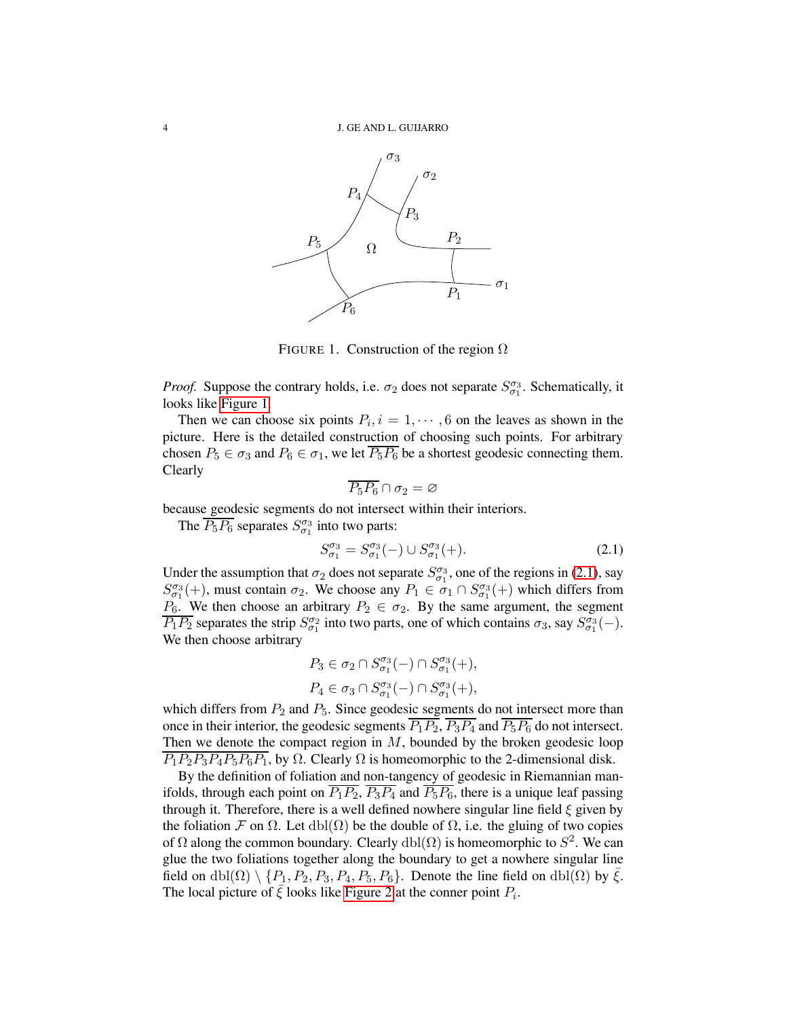

<span id="page-3-0"></span>FIGURE 1. Construction of the region  $\Omega$ 

*Proof.* Suppose the contrary holds, i.e.  $\sigma_2$  does not separate  $S^{\sigma_3}_{\sigma_1}$ . Schematically, it looks like [Figure 1.](#page-3-0)

Then we can choose six points  $P_i$ ,  $i = 1, \dots, 6$  on the leaves as shown in the picture. Here is the detailed construction of choosing such points. For arbitrary chosen  $P_5 \in \sigma_3$  and  $P_6 \in \sigma_1$ , we let  $\overline{P_5P_6}$  be a shortest geodesic connecting them. Clearly

$$
\overline{P_5P_6}\cap \sigma_2=\varnothing
$$

because geodesic segments do not intersect within their interiors.

The  $\overline{P_5P_6}$  separates  $S_{\sigma_1}^{\sigma_3}$  into two parts:

<span id="page-3-1"></span>
$$
S_{\sigma_1}^{\sigma_3} = S_{\sigma_1}^{\sigma_3}(-) \cup S_{\sigma_1}^{\sigma_3}(+).
$$
 (2.1)

Under the assumption that  $\sigma_2$  does not separate  $S^{\sigma_3}_{\sigma_1}$ , one of the regions in [\(2.1\)](#page-3-1), say  $S_{\sigma_1}^{\sigma_3}(+)$ , must contain  $\sigma_2$ . We choose any  $P_1 \in \sigma_1 \cap S_{\sigma_1}^{\sigma_3}(+)$  which differs from  $P_6$ . We then choose an arbitrary  $P_2 \in \sigma_2$ . By the same argument, the segment  $\overline{P_1P_2}$  separates the strip  $S_{\sigma_1}^{\sigma_2}$  into two parts, one of which contains  $\sigma_3$ , say  $S_{\sigma_1}^{\sigma_3}(-)$ . We then choose arbitrary

$$
P_3 \in \sigma_2 \cap S^{\sigma_3}_{\sigma_1}(-) \cap S^{\sigma_3}_{\sigma_1}(+),
$$
  

$$
P_4 \in \sigma_3 \cap S^{\sigma_3}_{\sigma_1}(-) \cap S^{\sigma_3}_{\sigma_1}(+),
$$

which differs from  $P_2$  and  $P_5$ . Since geodesic segments do not intersect more than once in their interior, the geodesic segments  $\overline{P_1P_2}$ ,  $\overline{P_3P_4}$  and  $\overline{P_5P_6}$  do not intersect. Then we denote the compact region in  $M$ , bounded by the broken geodesic loop  $\overline{P_1P_2P_3P_4P_5P_6P_1}$ , by  $\Omega$ . Clearly  $\Omega$  is homeomorphic to the 2-dimensional disk.

By the definition of foliation and non-tangency of geodesic in Riemannian manifolds, through each point on  $\overline{P_1P_2}$ ,  $\overline{P_3P_4}$  and  $\overline{P_5P_6}$ , there is a unique leaf passing through it. Therefore, there is a well defined nowhere singular line field  $\xi$  given by the foliation F on  $\Omega$ . Let  $dbl(\Omega)$  be the double of  $\Omega$ , i.e. the gluing of two copies of  $\Omega$  along the common boundary. Clearly  $dbl(\Omega)$  is homeomorphic to  $S^2$ . We can glue the two foliations together along the boundary to get a nowhere singular line field on dbl( $\Omega$ ) \ {P<sub>1</sub>, P<sub>2</sub>, P<sub>3</sub>, P<sub>4</sub>, P<sub>5</sub>, P<sub>6</sub>}. Denote the line field on dbl( $\Omega$ ) by  $\bar{\xi}$ . The local picture of  $\bar{\xi}$  looks like [Figure 2](#page-4-0) at the conner point  $P_i$ .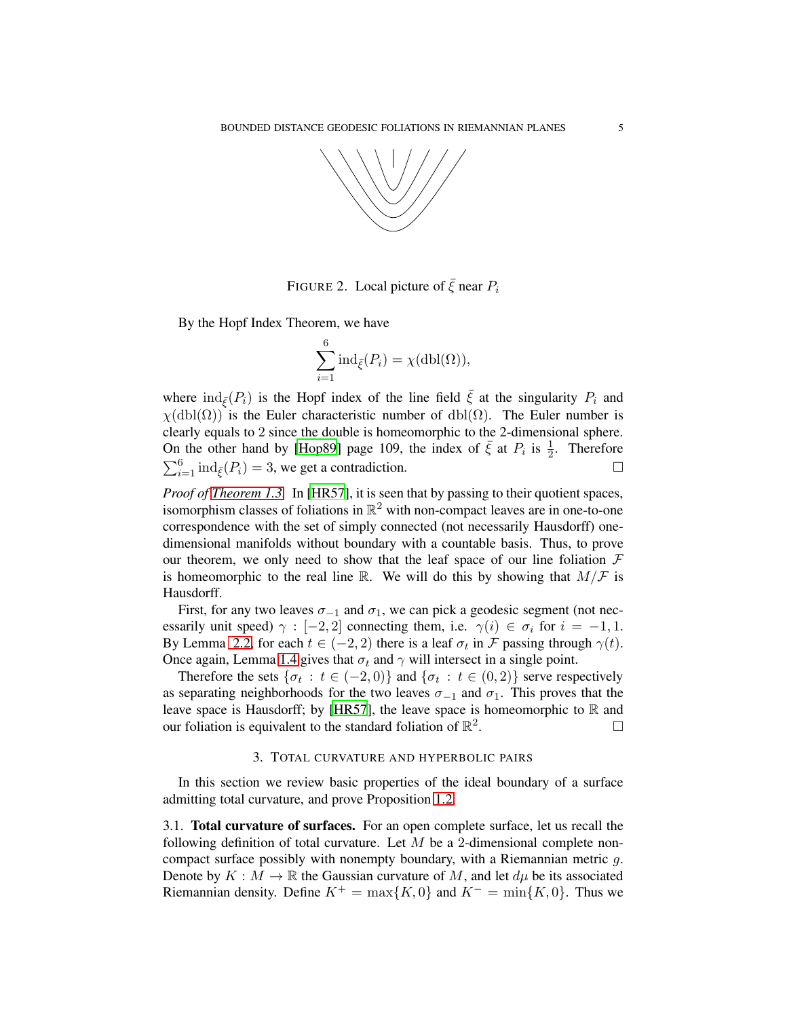

FIGURE 2. Local picture of  $\bar{\xi}$  near  $P_i$ 

By the Hopf Index Theorem, we have

<span id="page-4-0"></span>
$$
\sum_{i=1}^{6} \operatorname{ind}_{\bar{\xi}}(P_i) = \chi(\operatorname{dbl}(\Omega)),
$$

where  $\text{ind}_{\bar{\xi}}(P_i)$  is the Hopf index of the line field  $\bar{\xi}$  at the singularity  $P_i$  and  $\chi(\text{dbl}(\Omega))$  is the Euler characteristic number of dbl( $\Omega$ ). The Euler number is clearly equals to 2 since the double is homeomorphic to the 2-dimensional sphere. On the other hand by [\[Hop89](#page-12-8)] page 109, the index of  $\bar{\xi}$  at  $P_i$  is  $\frac{1}{2}$ . Therefore  $\sum_{i=1}^{6} \text{ind}_{\bar{\xi}}(P_i) = 3$ , we get a contradiction.

*Proof of [Theorem 1.3.](#page-1-1)* In [\[HR57](#page-12-6)], it is seen that by passing to their quotient spaces, isomorphism classes of foliations in  $\mathbb{R}^2$  with non-compact leaves are in one-to-one correspondence with the set of simply connected (not necessarily Hausdorff) onedimensional manifolds without boundary with a countable basis. Thus, to prove our theorem, we only need to show that the leaf space of our line foliation  $\mathcal F$ is homeomorphic to the real line R. We will do this by showing that  $M/F$  is Hausdorff.

First, for any two leaves  $\sigma_{-1}$  and  $\sigma_1$ , we can pick a geodesic segment (not necessarily unit speed)  $\gamma : [-2, 2]$  connecting them, i.e.  $\gamma(i) \in \sigma_i$  for  $i = -1, 1$ . By Lemma [2.2,](#page-2-0) for each  $t \in (-2, 2)$  there is a leaf  $\sigma_t$  in  $\mathcal F$  passing through  $\gamma(t)$ . Once again, Lemma [1.4](#page-2-1) gives that  $\sigma_t$  and  $\gamma$  will intersect in a single point.

Therefore the sets  $\{\sigma_t : t \in (-2,0)\}$  and  $\{\sigma_t : t \in (0,2)\}$  serve respectively as separating neighborhoods for the two leaves  $\sigma_{-1}$  and  $\sigma_1$ . This proves that the leave space is Hausdorff; by [\[HR57\]](#page-12-6), the leave space is homeomorphic to  $\mathbb R$  and our foliation is equivalent to the standard foliation of  $\mathbb{R}^2$ . — Первый профессиональный профессиональный профессиональный профессиональный профессиональный профессиональн<br>В профессиональный профессиональный профессиональный профессиональный профессиональный профессиональный профес

# 3. TOTAL CURVATURE AND HYPERBOLIC PAIRS

In this section we review basic properties of the ideal boundary of a surface admitting total curvature, and prove Proposition [1.2.](#page-2-2)

3.1. Total curvature of surfaces. For an open complete surface, let us recall the following definition of total curvature. Let  $M$  be a 2-dimensional complete noncompact surface possibly with nonempty boundary, with a Riemannian metric g. Denote by  $K : M \to \mathbb{R}$  the Gaussian curvature of M, and let  $d\mu$  be its associated Riemannian density. Define  $K^+ = \max\{K, 0\}$  and  $K^- = \min\{K, 0\}$ . Thus we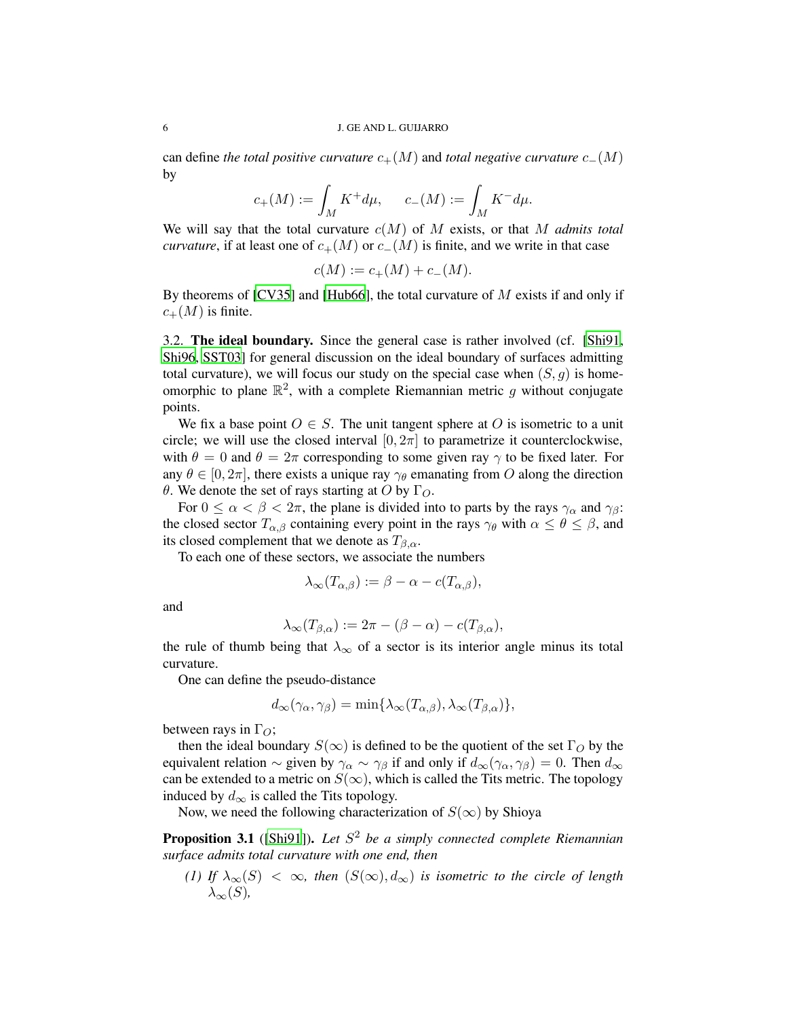can define *the total positive curvature*  $c_{+}(M)$  and *total negative curvature*  $c_{-}(M)$ by

$$
c_+(M) := \int_M K^+ d\mu, \qquad c_-(M) := \int_M K^- d\mu.
$$

We will say that the total curvature c(M) of M exists, or that M *admits total curvature*, if at least one of  $c_{+}(M)$  or  $c_{-}(M)$  is finite, and we write in that case

$$
c(M) := c_{+}(M) + c_{-}(M).
$$

By theorems of [\[CV35](#page-12-9)] and [\[Hub66](#page-12-10)], the total curvature of  $M$  exists if and only if  $c_{+}(M)$  is finite.

3.2. The ideal boundary. Since the general case is rather involved (cf. [\[Shi91](#page-12-11), [Shi96](#page-13-0), [SST03\]](#page-13-1) for general discussion on the ideal boundary of surfaces admitting total curvature), we will focus our study on the special case when  $(S, g)$  is homeomorphic to plane  $\mathbb{R}^2$ , with a complete Riemannian metric g without conjugate points.

We fix a base point  $O \in S$ . The unit tangent sphere at O is isometric to a unit circle; we will use the closed interval  $[0, 2\pi]$  to parametrize it counterclockwise, with  $\theta = 0$  and  $\theta = 2\pi$  corresponding to some given ray  $\gamma$  to be fixed later. For any  $\theta \in [0, 2\pi]$ , there exists a unique ray  $\gamma_{\theta}$  emanating from O along the direction θ. We denote the set of rays starting at O by  $\Gamma_{O}$ .

For  $0 \le \alpha < \beta < 2\pi$ , the plane is divided into to parts by the rays  $\gamma_\alpha$  and  $\gamma_\beta$ : the closed sector  $T_{\alpha,\beta}$  containing every point in the rays  $\gamma_\theta$  with  $\alpha \leq \theta \leq \beta$ , and its closed complement that we denote as  $T_{\beta,\alpha}$ .

To each one of these sectors, we associate the numbers

$$
\lambda_{\infty}(T_{\alpha,\beta}) := \beta - \alpha - c(T_{\alpha,\beta}),
$$

and

$$
\lambda_{\infty}(T_{\beta,\alpha}) := 2\pi - (\beta - \alpha) - c(T_{\beta,\alpha}),
$$

the rule of thumb being that  $\lambda_{\infty}$  of a sector is its interior angle minus its total curvature.

One can define the pseudo-distance

$$
d_{\infty}(\gamma_{\alpha}, \gamma_{\beta}) = \min\{\lambda_{\infty}(T_{\alpha,\beta}), \lambda_{\infty}(T_{\beta,\alpha})\},\
$$

between rays in  $\Gamma_{\Omega}$ ;

then the ideal boundary  $S(\infty)$  is defined to be the quotient of the set  $\Gamma_O$  by the equivalent relation  $\sim$  given by  $\gamma_\alpha \sim \gamma_\beta$  if and only if  $d_\infty(\gamma_\alpha, \gamma_\beta) = 0$ . Then  $d_\infty$ can be extended to a metric on  $S(\infty)$ , which is called the Tits metric. The topology induced by  $d_{\infty}$  is called the Tits topology.

Now, we need the following characterization of  $S(\infty)$  by Shioya

<span id="page-5-0"></span>Proposition 3.1 ([\[Shi91\]](#page-12-11)). *Let* S <sup>2</sup> *be a simply connected complete Riemannian surface admits total curvature with one end, then*

*(1) If*  $\lambda_{\infty}(S) < \infty$ *, then*  $(S(\infty), d_{\infty})$  *is isometric to the circle of length*  $\lambda_{\infty}(S)$ ,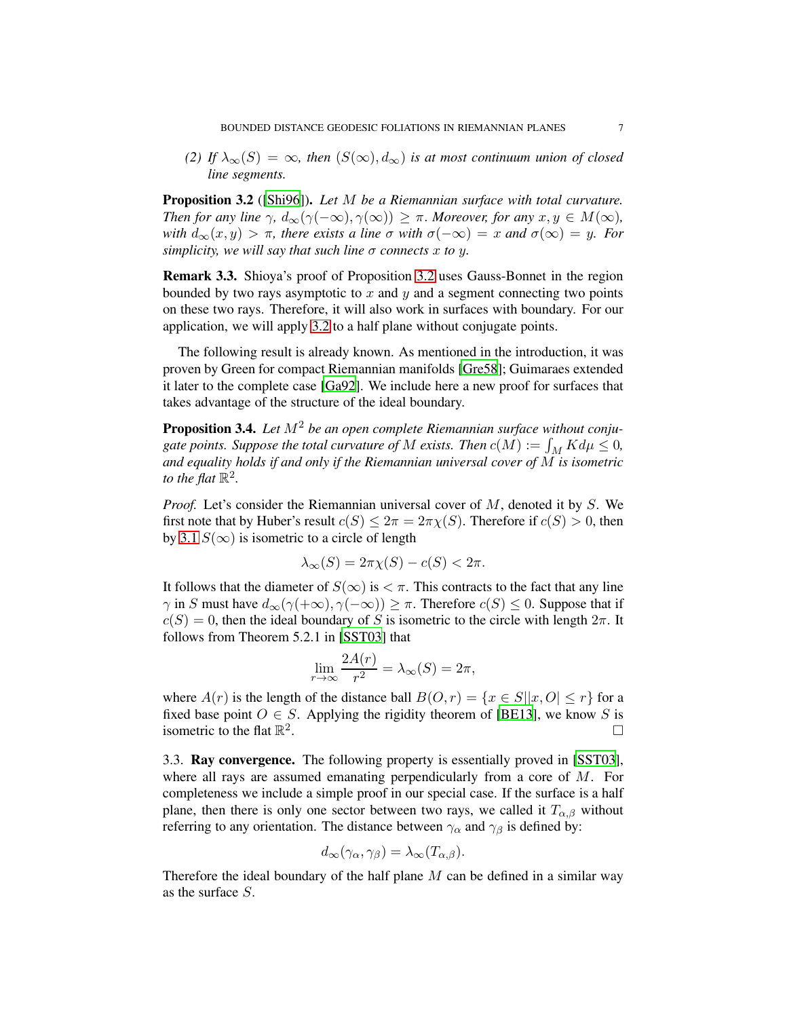*(2) If*  $\lambda_{\infty}(S) = \infty$ *, then*  $(S(\infty), d_{\infty})$  *is at most continuum union of closed line segments.*

<span id="page-6-0"></span>Proposition 3.2 ([\[Shi96](#page-13-0)]). *Let* M *be a Riemannian surface with total curvature. Then for any line*  $\gamma$ ,  $d_{\infty}(\gamma(-\infty), \gamma(\infty)) \geq \pi$ . *Moreover, for any*  $x, y \in M(\infty)$ , *with*  $d_{\infty}(x, y) > \pi$ , there exists a line  $\sigma$  with  $\sigma(-\infty) = x$  and  $\sigma(\infty) = y$ . For *simplicity, we will say that such line*  $\sigma$  *connects* x to y.

Remark 3.3. Shioya's proof of Proposition [3.2](#page-6-0) uses Gauss-Bonnet in the region bounded by two rays asymptotic to  $x$  and  $y$  and a segment connecting two points on these two rays. Therefore, it will also work in surfaces with boundary. For our application, we will apply [3.2](#page-6-0) to a half plane without conjugate points.

The following result is already known. As mentioned in the introduction, it was proven by Green for compact Riemannian manifolds [\[Gre58](#page-12-2)]; Guimaraes extended it later to the complete case [\[Ga92\]](#page-12-12). We include here a new proof for surfaces that takes advantage of the structure of the ideal boundary.

<span id="page-6-1"></span>Proposition 3.4. Let  $M^2$  be an open complete Riemannian surface without conjugate points. Suppose the total curvature of M exists. Then  $c(M) := \int_M K d\mu \leq 0$ , *and equality holds if and only if the Riemannian universal cover of* M *is isometric to the flat*  $\mathbb{R}^2$ .

*Proof.* Let's consider the Riemannian universal cover of M, denoted it by S. We first note that by Huber's result  $c(S) \leq 2\pi = 2\pi\chi(S)$ . Therefore if  $c(S) > 0$ , then by [3.1](#page-5-0)  $S(\infty)$  is isometric to a circle of length

$$
\lambda_{\infty}(S) = 2\pi \chi(S) - c(S) < 2\pi.
$$

It follows that the diameter of  $S(\infty)$  is  $\lt \pi$ . This contracts to the fact that any line  $\gamma$  in S must have  $d_{\infty}(\gamma(+\infty), \gamma(-\infty)) \geq \pi$ . Therefore  $c(S) \leq 0$ . Suppose that if  $c(S) = 0$ , then the ideal boundary of S is isometric to the circle with length  $2\pi$ . It follows from Theorem 5.2.1 in [\[SST03](#page-13-1)] that

$$
\lim_{r \to \infty} \frac{2A(r)}{r^2} = \lambda_{\infty}(S) = 2\pi,
$$

where  $A(r)$  is the length of the distance ball  $B(0, r) = \{x \in S | |x, 0| \le r\}$  for a fixed base point  $O \in S$ . Applying the rigidity theorem of [\[BE13\]](#page-12-13), we know S is isometric to the flat  $\mathbb{R}^2$ .

3.3. Ray convergence. The following property is essentially proved in [\[SST03\]](#page-13-1), where all rays are assumed emanating perpendicularly from a core of M. For completeness we include a simple proof in our special case. If the surface is a half plane, then there is only one sector between two rays, we called it  $T_{\alpha,\beta}$  without referring to any orientation. The distance between  $\gamma_\alpha$  and  $\gamma_\beta$  is defined by:

$$
d_{\infty}(\gamma_{\alpha}, \gamma_{\beta}) = \lambda_{\infty}(T_{\alpha, \beta}).
$$

Therefore the ideal boundary of the half plane  $M$  can be defined in a similar way as the surface S.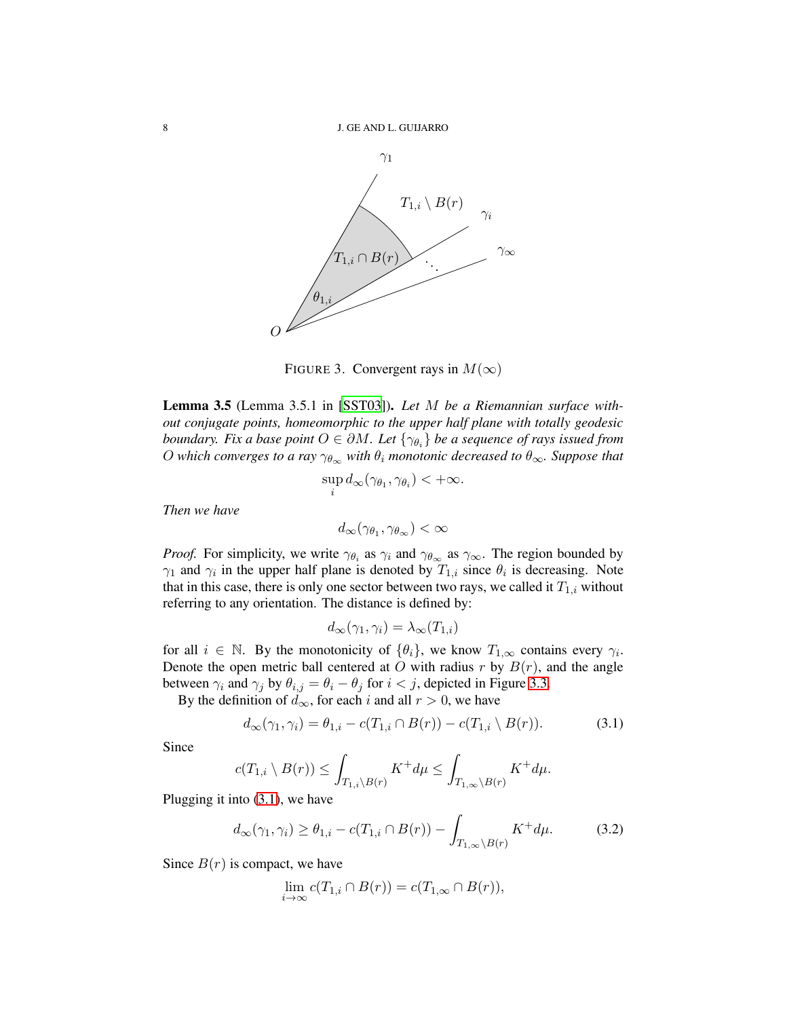

FIGURE 3. Convergent rays in  $M(\infty)$ 

<span id="page-7-0"></span>Lemma 3.5 (Lemma 3.5.1 in [\[SST03\]](#page-13-1)). *Let* M *be a Riemannian surface without conjugate points, homeomorphic to the upper half plane with totally geodesic boundary. Fix a base point*  $O \in \partial M$ . Let  $\{\gamma_{\theta_i}\}$  be a sequence of rays issued from O which converges to a ray  $\gamma_{\theta_{\infty}}$  with  $\theta_i$  monotonic decreased to  $\theta_{\infty}$ . Suppose that

$$
\sup_i d_{\infty}(\gamma_{\theta_1}, \gamma_{\theta_i}) < +\infty.
$$

*Then we have*

 $d_{\infty}(\gamma_{\theta_1},\gamma_{\theta_{\infty}})<\infty$ 

*Proof.* For simplicity, we write  $\gamma_{\theta_i}$  as  $\gamma_i$  and  $\gamma_{\theta_\infty}$  as  $\gamma_\infty$ . The region bounded by  $\gamma_1$  and  $\gamma_i$  in the upper half plane is denoted by  $T_{1,i}$  since  $\theta_i$  is decreasing. Note that in this case, there is only one sector between two rays, we called it  $T_{1,i}$  without referring to any orientation. The distance is defined by:

$$
d_{\infty}(\gamma_1, \gamma_i) = \lambda_{\infty}(T_{1,i})
$$

for all  $i \in \mathbb{N}$ . By the monotonicity of  $\{\theta_i\}$ , we know  $T_{1,\infty}$  contains every  $\gamma_i$ . Denote the open metric ball centered at O with radius  $r$  by  $B(r)$ , and the angle between  $\gamma_i$  and  $\gamma_j$  by  $\theta_{i,j} = \theta_i - \theta_j$  for  $i < j$ , depicted in Figure [3.3.](#page-7-0)

By the definition of  $d_{\infty}$ , for each i and all  $r > 0$ , we have

<span id="page-7-1"></span>
$$
d_{\infty}(\gamma_1, \gamma_i) = \theta_{1,i} - c(T_{1,i} \cap B(r)) - c(T_{1,i} \setminus B(r)).
$$
 (3.1)

Since

$$
c(T_{1,i} \setminus B(r)) \le \int_{T_{1,i} \setminus B(r)} K^+ d\mu \le \int_{T_{1,\infty} \setminus B(r)} K^+ d\mu.
$$

Plugging it into [\(3.1\)](#page-7-1), we have

<span id="page-7-2"></span>
$$
d_{\infty}(\gamma_1, \gamma_i) \ge \theta_{1,i} - c(T_{1,i} \cap B(r)) - \int_{T_{1,\infty} \setminus B(r)} K^+ d\mu. \tag{3.2}
$$

Since  $B(r)$  is compact, we have

$$
\lim_{i \to \infty} c(T_{1,i} \cap B(r)) = c(T_{1,\infty} \cap B(r)),
$$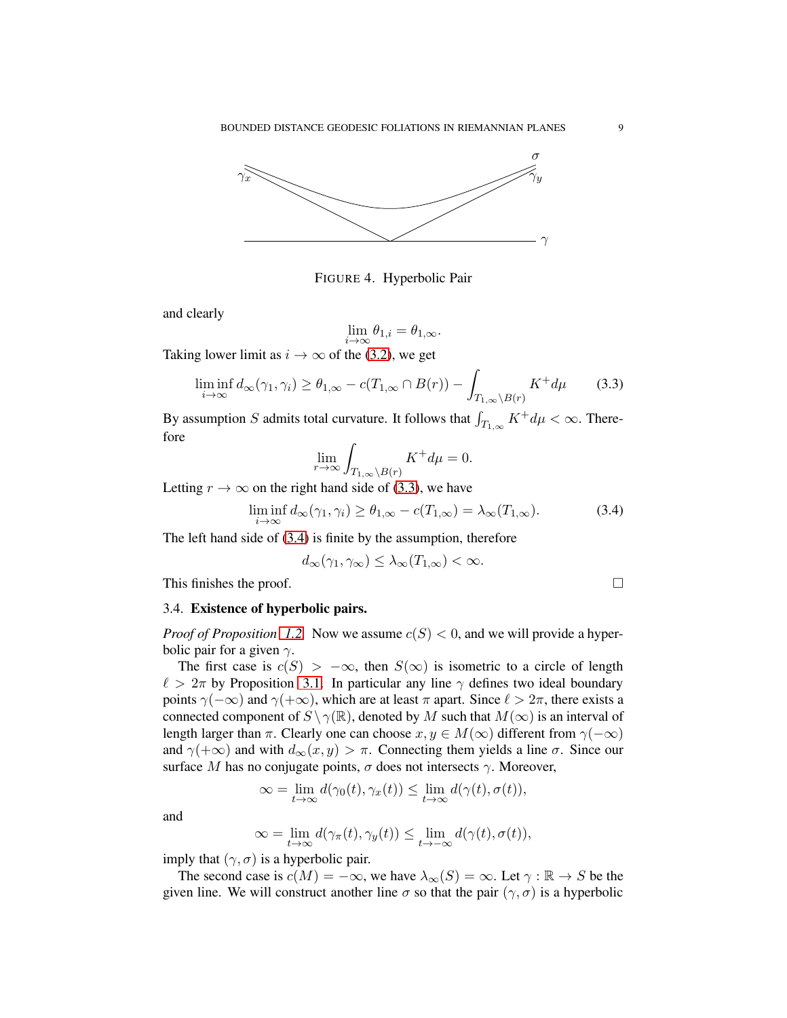

FIGURE 4. Hyperbolic Pair

and clearly

$$
\lim_{i \to \infty} \theta_{1,i} = \theta_{1,\infty}.
$$

Taking lower limit as  $i \rightarrow \infty$  of the [\(3.2\)](#page-7-2), we get

<span id="page-8-0"></span>
$$
\liminf_{i \to \infty} d_{\infty}(\gamma_1, \gamma_i) \ge \theta_{1, \infty} - c(T_{1, \infty} \cap B(r)) - \int_{T_{1, \infty} \setminus B(r)} K^+ d\mu \tag{3.3}
$$

By assumption S admits total curvature. It follows that  $\int_{T_{1,\infty}} K^+ d\mu < \infty$ . Therefore

$$
\lim_{r \to \infty} \int_{T_{1,\infty} \setminus B(r)} K^+ d\mu = 0.
$$

Letting  $r \to \infty$  on the right hand side of [\(3.3\)](#page-8-0), we have

<span id="page-8-1"></span>
$$
\liminf_{i \to \infty} d_{\infty}(\gamma_1, \gamma_i) \ge \theta_{1, \infty} - c(T_{1, \infty}) = \lambda_{\infty}(T_{1, \infty}).
$$
\n(3.4)

The left hand side of [\(3.4\)](#page-8-1) is finite by the assumption, therefore

$$
d_{\infty}(\gamma_1, \gamma_{\infty}) \leq \lambda_{\infty}(T_{1,\infty}) < \infty.
$$

This finishes the proof.

#### 3.4. Existence of hyperbolic pairs.

*Proof of Proposition [1.2.](#page-2-2)* Now we assume  $c(S) < 0$ , and we will provide a hyperbolic pair for a given  $\gamma$ .

The first case is  $c(S) > -\infty$ , then  $S(\infty)$  is isometric to a circle of length  $\ell > 2\pi$  by Proposition [3.1.](#page-5-0) In particular any line  $\gamma$  defines two ideal boundary points  $\gamma(-\infty)$  and  $\gamma(+\infty)$ , which are at least  $\pi$  apart. Since  $\ell > 2\pi$ , there exists a connected component of  $S \setminus \gamma(\mathbb{R})$ , denoted by M such that  $M(\infty)$  is an interval of length larger than  $\pi$ . Clearly one can choose  $x, y \in M(\infty)$  different from  $\gamma(-\infty)$ and  $\gamma(+\infty)$  and with  $d_{\infty}(x, y) > \pi$ . Connecting them yields a line  $\sigma$ . Since our surface M has no conjugate points,  $\sigma$  does not intersects  $\gamma$ . Moreover,

$$
\infty = \lim_{t \to \infty} d(\gamma_0(t), \gamma_x(t)) \le \lim_{t \to \infty} d(\gamma(t), \sigma(t)),
$$

and

$$
\infty = \lim_{t \to \infty} d(\gamma_{\pi}(t), \gamma_{y}(t)) \le \lim_{t \to -\infty} d(\gamma(t), \sigma(t)),
$$

imply that  $(\gamma, \sigma)$  is a hyperbolic pair.

The second case is  $c(M) = -\infty$ , we have  $\lambda_{\infty}(S) = \infty$ . Let  $\gamma : \mathbb{R} \to S$  be the given line. We will construct another line  $\sigma$  so that the pair  $(\gamma, \sigma)$  is a hyperbolic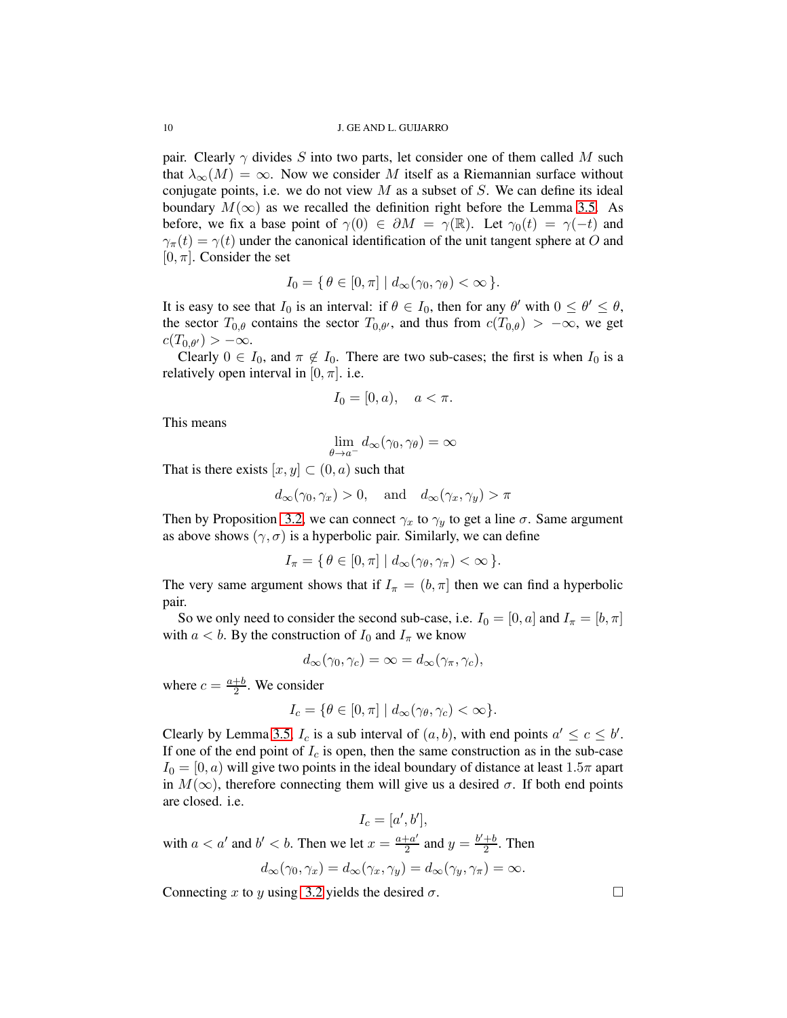pair. Clearly  $\gamma$  divides S into two parts, let consider one of them called M such that  $\lambda_{\infty}(M) = \infty$ . Now we consider M itself as a Riemannian surface without conjugate points, i.e. we do not view  $M$  as a subset of  $S$ . We can define its ideal boundary  $M(\infty)$  as we recalled the definition right before the Lemma [3.5.](#page-7-0) As before, we fix a base point of  $\gamma(0) \in \partial M = \gamma(\mathbb{R})$ . Let  $\gamma_0(t) = \gamma(-t)$  and  $\gamma_{\pi}(t) = \gamma(t)$  under the canonical identification of the unit tangent sphere at O and  $[0, \pi]$ . Consider the set

$$
I_0 = \{ \theta \in [0, \pi] \mid d_{\infty}(\gamma_0, \gamma_{\theta}) < \infty \}.
$$

It is easy to see that  $I_0$  is an interval: if  $\theta \in I_0$ , then for any  $\theta'$  with  $0 \le \theta' \le \theta$ , the sector  $T_{0,\theta}$  contains the sector  $T_{0,\theta'}$ , and thus from  $c(T_{0,\theta}) > -\infty$ , we get  $c(T_{0,\theta'}) > -\infty.$ 

Clearly  $0 \in I_0$ , and  $\pi \notin I_0$ . There are two sub-cases; the first is when  $I_0$  is a relatively open interval in [0,  $\pi$ ]. i.e.

$$
I_0 = [0, a), \quad a < \pi.
$$

This means

$$
\lim_{\theta \to a^-} d_{\infty}(\gamma_0, \gamma_{\theta}) = \infty
$$

That is there exists  $[x, y] \subset (0, a)$  such that

$$
d_{\infty}(\gamma_0, \gamma_x) > 0
$$
, and  $d_{\infty}(\gamma_x, \gamma_y) > \pi$ 

Then by Proposition [3.2,](#page-6-0) we can connect  $\gamma_x$  to  $\gamma_y$  to get a line  $\sigma$ . Same argument as above shows  $(\gamma, \sigma)$  is a hyperbolic pair. Similarly, we can define

$$
I_{\pi} = \{ \theta \in [0, \pi] \mid d_{\infty}(\gamma_{\theta}, \gamma_{\pi}) < \infty \}.
$$

The very same argument shows that if  $I_{\pi} = (b, \pi]$  then we can find a hyperbolic pair.

So we only need to consider the second sub-case, i.e.  $I_0 = [0, a]$  and  $I_{\pi} = [b, \pi]$ with  $a < b$ . By the construction of  $I_0$  and  $I_\pi$  we know

$$
d_{\infty}(\gamma_0, \gamma_c) = \infty = d_{\infty}(\gamma_{\pi}, \gamma_c),
$$

where  $c = \frac{a+b}{2}$ . We consider

$$
I_c = \{ \theta \in [0, \pi] \mid d_{\infty}(\gamma_{\theta}, \gamma_c) < \infty \}.
$$

Clearly by Lemma [3.5,](#page-7-0)  $I_c$  is a sub interval of  $(a, b)$ , with end points  $a' \le c \le b'$ . If one of the end point of  $I_c$  is open, then the same construction as in the sub-case  $I_0 = [0, a)$  will give two points in the ideal boundary of distance at least 1.5π apart in  $M(\infty)$ , therefore connecting them will give us a desired  $\sigma$ . If both end points are closed. i.e.

$$
I_c = [a', b'],
$$

with  $a < a'$  and  $b' < b$ . Then we let  $x = \frac{a+a'}{2}$  $\frac{a}{2}$  and  $y = \frac{b'+b}{2}$  $rac{+b}{2}$ . Then

$$
d_{\infty}(\gamma_0, \gamma_x) = d_{\infty}(\gamma_x, \gamma_y) = d_{\infty}(\gamma_y, \gamma_\pi) = \infty.
$$

Connecting x to y using [3.2](#page-6-0) yields the desired  $\sigma$ .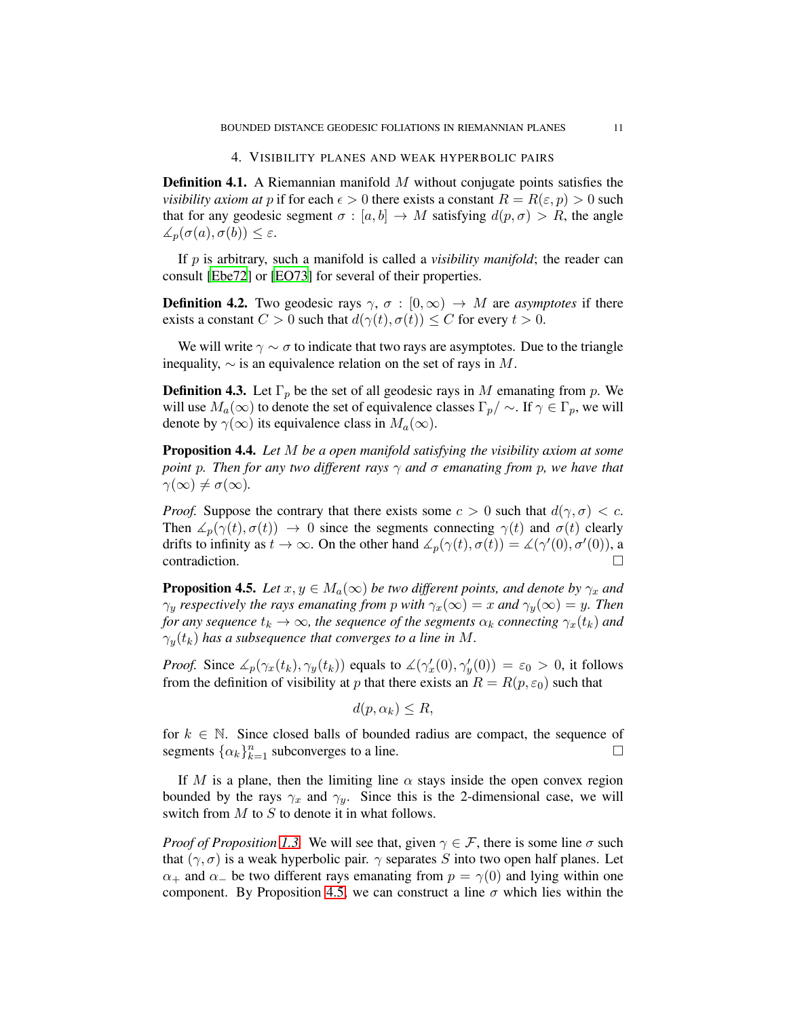## 4. VISIBILITY PLANES AND WEAK HYPERBOLIC PAIRS

**Definition 4.1.** A Riemannian manifold  $M$  without conjugate points satisfies the *visibility axiom at* p if for each  $\epsilon > 0$  there exists a constant  $R = R(\epsilon, p) > 0$  such that for any geodesic segment  $\sigma : [a, b] \to M$  satisfying  $d(p, \sigma) > R$ , the angle  $\measuredangle_p(\sigma(a), \sigma(b)) \leq \varepsilon.$ 

If p is arbitrary, such a manifold is called a *visibility manifold*; the reader can consult [\[Ebe72](#page-12-14)] or [\[EO73\]](#page-12-15) for several of their properties.

**Definition 4.2.** Two geodesic rays  $\gamma$ ,  $\sigma$  :  $[0,\infty) \rightarrow M$  are *asymptotes* if there exists a constant  $C > 0$  such that  $d(\gamma(t), \sigma(t)) \leq C$  for every  $t > 0$ .

We will write  $\gamma \sim \sigma$  to indicate that two rays are asymptotes. Due to the triangle inequality,  $\sim$  is an equivalence relation on the set of rays in M.

**Definition 4.3.** Let  $\Gamma_p$  be the set of all geodesic rays in M emanating from p. We will use  $M_a(\infty)$  to denote the set of equivalence classes  $\Gamma_p / \sim$ . If  $\gamma \in \Gamma_p$ , we will denote by  $\gamma(\infty)$  its equivalence class in  $M_a(\infty)$ .

<span id="page-10-1"></span>Proposition 4.4. *Let* M *be a open manifold satisfying the visibility axiom at some point* p*. Then for any two different rays* γ *and* σ *emanating from* p*, we have that*  $\gamma(\infty) \neq \sigma(\infty)$ .

*Proof.* Suppose the contrary that there exists some  $c > 0$  such that  $d(\gamma, \sigma) < c$ . Then  $\angle_p(\gamma(t), \sigma(t)) \rightarrow 0$  since the segments connecting  $\gamma(t)$  and  $\sigma(t)$  clearly drifts to infinity as  $t \to \infty$ . On the other hand  $\angle_p(\gamma(t), \sigma(t)) = \angle(\gamma'(0), \sigma'(0))$ , a contradiction.

<span id="page-10-0"></span>**Proposition 4.5.** *Let*  $x, y \in M_a(\infty)$  *be two different points, and denote by*  $\gamma_x$  *and*  $\gamma_y$  *respectively the rays emanating from p with*  $\gamma_x(\infty) = x$  *and*  $\gamma_y(\infty) = y$ *. Then for any sequence*  $t_k \to \infty$ *, the sequence of the segments*  $\alpha_k$  *connecting*  $\gamma_x(t_k)$  *and*  $\gamma_y(t_k)$  has a subsequence that converges to a line in M.

*Proof.* Since  $\measuredangle_p(\gamma_x(t_k), \gamma_y(t_k))$  equals to  $\measuredangle(\gamma_x'(0), \gamma_y'(0)) = \varepsilon_0 > 0$ , it follows from the definition of visibility at p that there exists an  $R = R(p, \varepsilon_0)$  such that

$$
d(p, \alpha_k) \leq R,
$$

for  $k \in \mathbb{N}$ . Since closed balls of bounded radius are compact, the sequence of segments  $\{\alpha_k\}_{k=1}^n$  subconverges to a line.

If M is a plane, then the limiting line  $\alpha$  stays inside the open convex region bounded by the rays  $\gamma_x$  and  $\gamma_y$ . Since this is the 2-dimensional case, we will switch from  $M$  to  $S$  to denote it in what follows.

*Proof of Proposition [1.3.](#page-2-3)* We will see that, given  $\gamma \in \mathcal{F}$ , there is some line  $\sigma$  such that  $(\gamma, \sigma)$  is a weak hyperbolic pair.  $\gamma$  separates S into two open half planes. Let  $\alpha_+$  and  $\alpha_-$  be two different rays emanating from  $p = \gamma(0)$  and lying within one component. By Proposition [4.5,](#page-10-0) we can construct a line  $\sigma$  which lies within the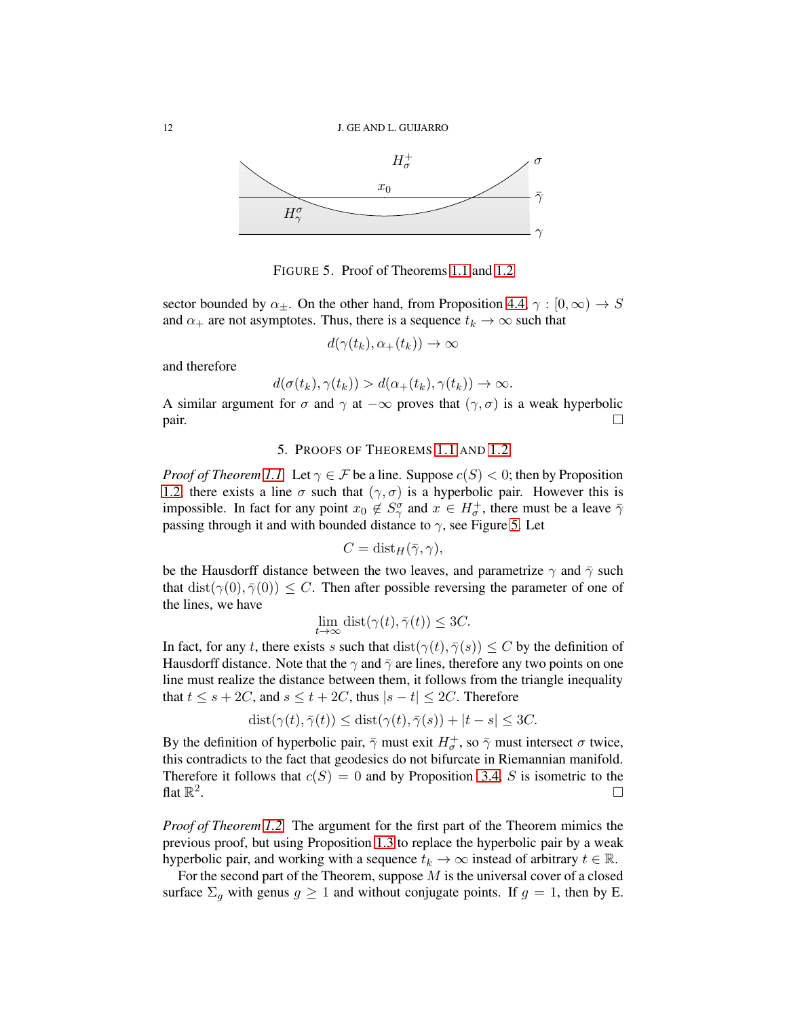

FIGURE 5. Proof of Theorems [1.1](#page-1-2) and [1.2](#page-1-3)

sector bounded by  $\alpha_{\pm}$ . On the other hand, from Proposition [4.4,](#page-10-1)  $\gamma : [0, \infty) \rightarrow S$ and  $\alpha_+$  are not asymptotes. Thus, there is a sequence  $t_k \to \infty$  such that

<span id="page-11-0"></span>
$$
d(\gamma(t_k),\alpha_+(t_k))\to\infty
$$

and therefore

$$
d(\sigma(t_k), \gamma(t_k)) > d(\alpha_+(t_k), \gamma(t_k)) \to \infty.
$$

A similar argument for  $\sigma$  and  $\gamma$  at  $-\infty$  proves that  $(\gamma, \sigma)$  is a weak hyperbolic  $\Box$ 

#### 5. PROOFS OF THEOREMS [1.1](#page-1-2) AND [1.2](#page-1-3)

*Proof of Theorem [1.1.](#page-1-2)* Let  $\gamma \in \mathcal{F}$  be a line. Suppose  $c(S) < 0$ ; then by Proposition [1.2,](#page-2-2) there exists a line  $\sigma$  such that  $(\gamma, \sigma)$  is a hyperbolic pair. However this is impossible. In fact for any point  $x_0 \notin S_\gamma^\sigma$  and  $x \in H_\sigma^+$ , there must be a leave  $\bar{\gamma}$ passing through it and with bounded distance to  $\gamma$ , see Figure [5.](#page-11-0) Let

$$
C=\operatorname{dist}_H(\bar\gamma,\gamma),
$$

be the Hausdorff distance between the two leaves, and parametrize  $\gamma$  and  $\bar{\gamma}$  such that  $dist(\gamma(0), \overline{\gamma}(0)) \leq C$ . Then after possible reversing the parameter of one of the lines, we have

$$
\lim_{t \to \infty} \text{dist}(\gamma(t), \bar{\gamma}(t)) \le 3C.
$$

In fact, for any t, there exists s such that  $dist(\gamma(t), \overline{\gamma}(s)) \leq C$  by the definition of Hausdorff distance. Note that the  $\gamma$  and  $\bar{\gamma}$  are lines, therefore any two points on one line must realize the distance between them, it follows from the triangle inequality that  $t \leq s + 2C$ , and  $s \leq t + 2C$ , thus  $|s - t| \leq 2C$ . Therefore

$$
dist(\gamma(t), \bar{\gamma}(t)) \leq dist(\gamma(t), \bar{\gamma}(s)) + |t - s| \leq 3C.
$$

By the definition of hyperbolic pair,  $\bar{\gamma}$  must exit  $H_{\sigma}^{+}$ , so  $\bar{\gamma}$  must intersect  $\sigma$  twice, this contradicts to the fact that geodesics do not bifurcate in Riemannian manifold. Therefore it follows that  $c(S) = 0$  and by Proposition [3.4,](#page-6-1) S is isometric to the flat  $\mathbb{R}^2$ .

*Proof of Theorem [1.2.](#page-1-3)* The argument for the first part of the Theorem mimics the previous proof, but using Proposition [1.3](#page-2-3) to replace the hyperbolic pair by a weak hyperbolic pair, and working with a sequence  $t_k \to \infty$  instead of arbitrary  $t \in \mathbb{R}$ .

For the second part of the Theorem, suppose  $M$  is the universal cover of a closed surface  $\Sigma_q$  with genus  $g \ge 1$  and without conjugate points. If  $g = 1$ , then by E.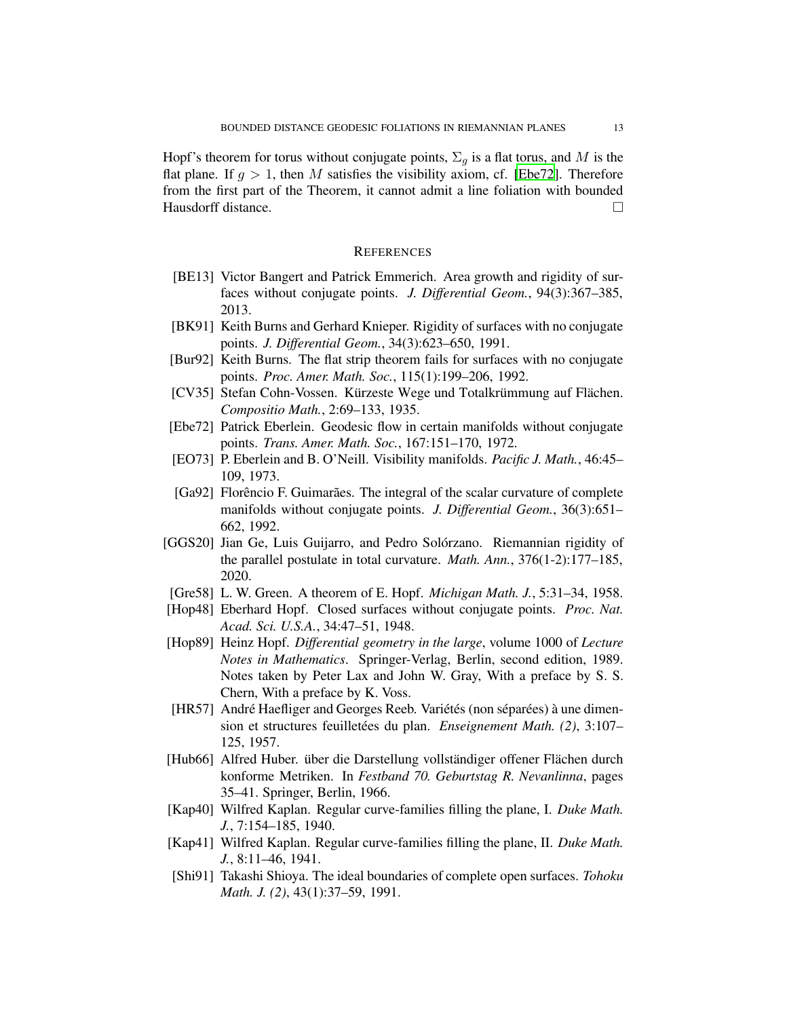Hopf's theorem for torus without conjugate points,  $\Sigma_q$  is a flat torus, and M is the flat plane. If  $q > 1$ , then M satisfies the visibility axiom, cf. [\[Ebe72](#page-12-14)]. Therefore from the first part of the Theorem, it cannot admit a line foliation with bounded Hausdorff distance.

#### **REFERENCES**

- <span id="page-12-13"></span>[BE13] Victor Bangert and Patrick Emmerich. Area growth and rigidity of surfaces without conjugate points. *J. Differential Geom.*, 94(3):367–385, 2013.
- <span id="page-12-0"></span>[BK91] Keith Burns and Gerhard Knieper. Rigidity of surfaces with no conjugate points. *J. Differential Geom.*, 34(3):623–650, 1991.
- <span id="page-12-3"></span>[Bur92] Keith Burns. The flat strip theorem fails for surfaces with no conjugate points. *Proc. Amer. Math. Soc.*, 115(1):199–206, 1992.
- <span id="page-12-9"></span>[CV35] Stefan Cohn-Vossen. Kürzeste Wege und Totalkrümmung auf Flächen. *Compositio Math.*, 2:69–133, 1935.
- <span id="page-12-14"></span>[Ebe72] Patrick Eberlein. Geodesic flow in certain manifolds without conjugate points. *Trans. Amer. Math. Soc.*, 167:151–170, 1972.
- <span id="page-12-15"></span>[EO73] P. Eberlein and B. O'Neill. Visibility manifolds. *Pacific J. Math.*, 46:45– 109, 1973.
- <span id="page-12-12"></span>[Ga92] Florêncio F. Guimarães. The integral of the scalar curvature of complete manifolds without conjugate points. *J. Differential Geom.*, 36(3):651– 662, 1992.
- <span id="page-12-7"></span>[GGS20] Jian Ge, Luis Guijarro, and Pedro Solórzano. Riemannian rigidity of the parallel postulate in total curvature. *Math. Ann.*, 376(1-2):177–185, 2020.
- <span id="page-12-2"></span>[Gre58] L. W. Green. A theorem of E. Hopf. *Michigan Math. J.*, 5:31–34, 1958.
- <span id="page-12-1"></span>[Hop48] Eberhard Hopf. Closed surfaces without conjugate points. *Proc. Nat. Acad. Sci. U.S.A.*, 34:47–51, 1948.
- <span id="page-12-8"></span>[Hop89] Heinz Hopf. *Differential geometry in the large*, volume 1000 of *Lecture Notes in Mathematics*. Springer-Verlag, Berlin, second edition, 1989. Notes taken by Peter Lax and John W. Gray, With a preface by S. S. Chern, With a preface by K. Voss.
- <span id="page-12-6"></span>[HR57] André Haefliger and Georges Reeb. Variétés (non séparées) à une dimension et structures feuilletées du plan. *Enseignement Math. (2)*, 3:107– 125, 1957.
- <span id="page-12-10"></span>[Hub66] Alfred Huber. über die Darstellung vollständiger offener Flächen durch konforme Metriken. In *Festband 70. Geburtstag R. Nevanlinna*, pages 35–41. Springer, Berlin, 1966.
- <span id="page-12-4"></span>[Kap40] Wilfred Kaplan. Regular curve-families filling the plane, I. *Duke Math. J.*, 7:154–185, 1940.
- <span id="page-12-5"></span>[Kap41] Wilfred Kaplan. Regular curve-families filling the plane, II. *Duke Math. J.*, 8:11–46, 1941.
- <span id="page-12-11"></span>[Shi91] Takashi Shioya. The ideal boundaries of complete open surfaces. *Tohoku Math. J. (2)*, 43(1):37–59, 1991.